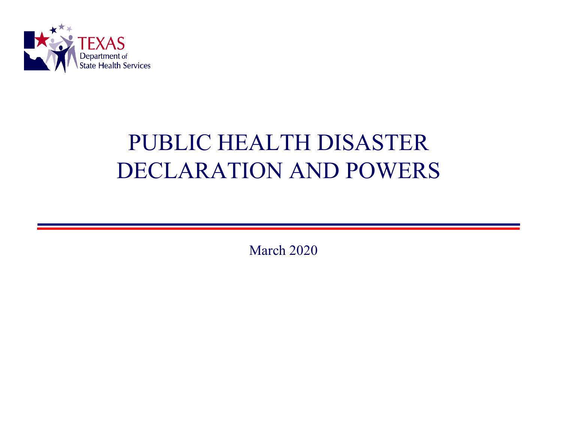

## PUBLIC HEALTH DISASTER DECLARATION AND POWERS

March 2020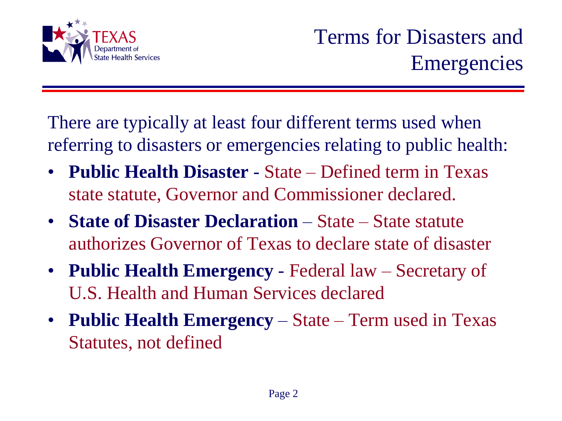

There are typically at least four different terms used when referring to disasters or emergencies relating to public health:

- **Public Health Disaster**  State Defined term in Texas state statute, Governor and Commissioner declared.
- **State of Disaster Declaration** State State statute authorizes Governor of Texas to declare state of disaster
- **Public Health Emergency**  Federal law Secretary of U.S. Health and Human Services declared
- **Public Health Emergency** State Term used in Texas Statutes, not defined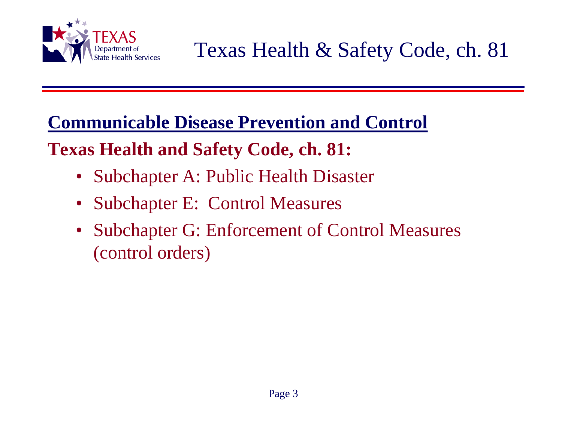

Texas Health & Safety Code, ch. 81

**Communicable Disease Prevention and Control** 

**Texas Health and Safety Code, ch. 81:**

- Subchapter A: Public Health Disaster
- Subchapter E: Control Measures
- Subchapter G: Enforcement of Control Measures (control orders)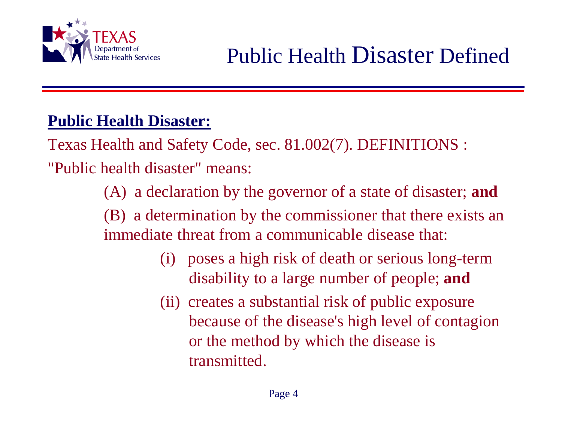

### **Public Health Disaster:**

Texas Health and Safety Code, sec. 81.002(7). DEFINITIONS :

"Public health disaster" means:

(A) a declaration by the governor of a state of disaster; **and**

(B) a determination by the commissioner that there exists an immediate threat from a communicable disease that:

- (i) poses a high risk of death or serious long-term disability to a large number of people; **and**
- (ii) creates a substantial risk of public exposure because of the disease's high level of contagion or the method by which the disease is transmitted.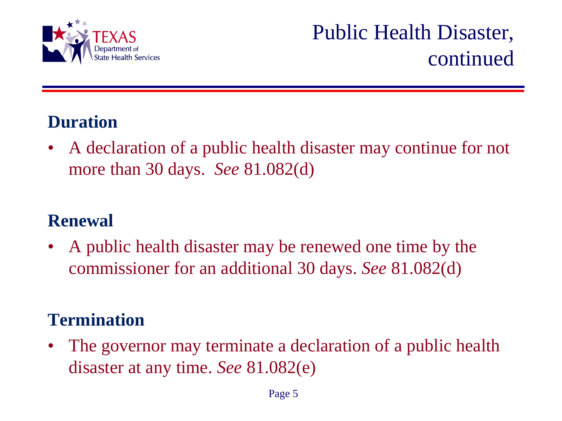

### **Duration**

• A declaration of a public health disaster may continue for not more than 30 days. *See* 81.082(d)

### **Renewal**

• A public health disaster may be renewed one time by the commissioner for an additional 30 days. *See* 81.082(d)

### **Termination**

• The governor may terminate a declaration of a public health disaster at any time. *See* 81.082(e)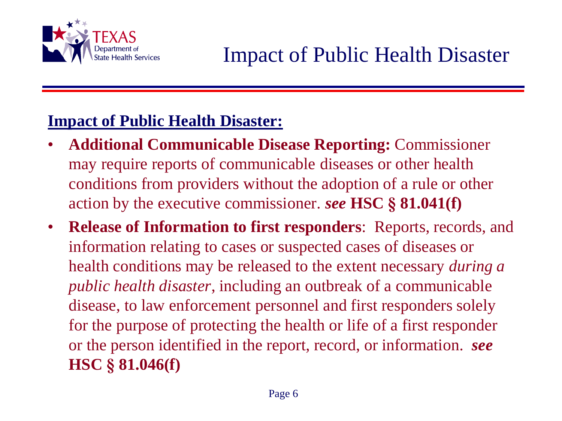

### **Impact of Public Health Disaster:**

- **Additional Communicable Disease Reporting:** Commissioner may require reports of communicable diseases or other health conditions from providers without the adoption of a rule or other action by the executive commissioner. *see* **HSC § 81.041(f)**
- **Release of Information to first responders**: Reports, records, and information relating to cases or suspected cases of diseases or health conditions may be released to the extent necessary *during a public health disaster*, including an outbreak of a communicable disease, to law enforcement personnel and first responders solely for the purpose of protecting the health or life of a first responder or the person identified in the report, record, or information. *see* **HSC § 81.046(f)**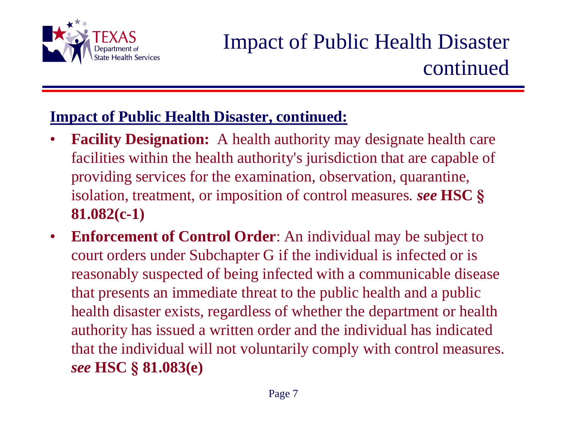

#### **Impact of Public Health Disaster, continued:**

- **Facility Designation:** A health authority may designate health care facilities within the health authority's jurisdiction that are capable of providing services for the examination, observation, quarantine, isolation, treatment, or imposition of control measures*. see* **HSC § 81.082(c-1)**
- **Enforcement of Control Order**: An individual may be subject to court orders under Subchapter G if the individual is infected or is reasonably suspected of being infected with a communicable disease that presents an immediate threat to the public health and a public health disaster exists, regardless of whether the department or health authority has issued a written order and the individual has indicated that the individual will not voluntarily comply with control measures. *see* **HSC § 81.083(e)**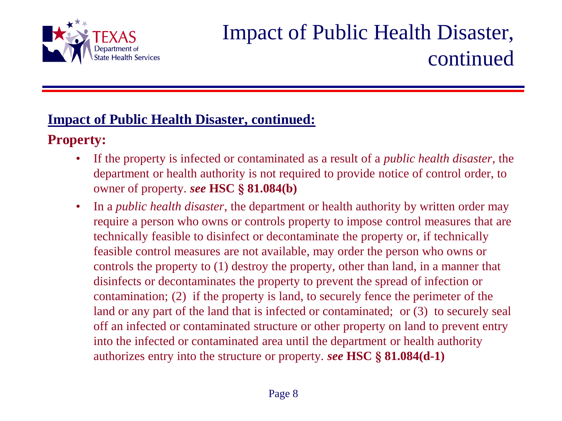

## Impact of Public Health Disaster, continued

#### **Impact of Public Health Disaster, continued:**

#### **Property:**

- If the property is infected or contaminated as a result of a *public health disaster*, the department or health authority is not required to provide notice of control order, to owner of property. *see* **HSC § 81.084(b)**
- In a *public health disaster*, the department or health authority by written order may require a person who owns or controls property to impose control measures that are technically feasible to disinfect or decontaminate the property or, if technically feasible control measures are not available, may order the person who owns or controls the property to (1) destroy the property, other than land, in a manner that disinfects or decontaminates the property to prevent the spread of infection or contamination; (2) if the property is land, to securely fence the perimeter of the land or any part of the land that is infected or contaminated; or  $(3)$  to securely seal off an infected or contaminated structure or other property on land to prevent entry into the infected or contaminated area until the department or health authority authorizes entry into the structure or property. *see* **HSC § 81.084(d-1)**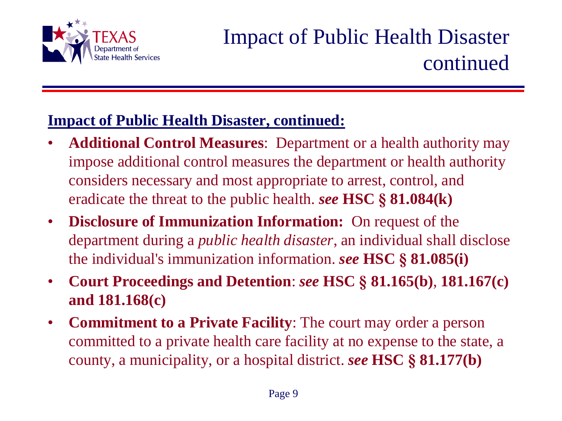

## Impact of Public Health Disaster continued

#### **Impact of Public Health Disaster, continued:**

- **Additional Control Measures**: Department or a health authority may impose additional control measures the department or health authority considers necessary and most appropriate to arrest, control, and eradicate the threat to the public health. *see* **HSC § 81.084(k)**
- **Disclosure of Immunization Information:** On request of the department during a *public health disaster*, an individual shall disclose the individual's immunization information. *see* **HSC § 81.085(i)**
- **Court Proceedings and Detention**: *see* **HSC § 81.165(b)**, **181.167(c) and 181.168(c)**
- **Commitment to a Private Facility**: The court may order a person committed to a private health care facility at no expense to the state, a county, a municipality, or a hospital district. *see* **HSC § 81.177(b)**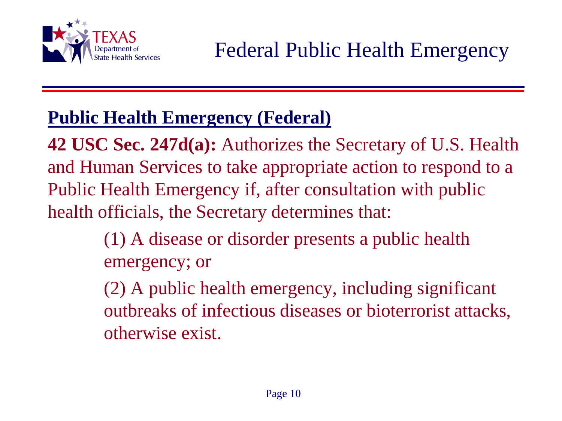

## **Public Health Emergency (Federal)**

**42 USC Sec. 247d(a):** Authorizes the Secretary of U.S. Health and Human Services to take appropriate action to respond to a Public Health Emergency if, after consultation with public health officials, the Secretary determines that:

> (1) A disease or disorder presents a public health emergency; or

(2) A public health emergency, including significant outbreaks of infectious diseases or bioterrorist attacks, otherwise exist.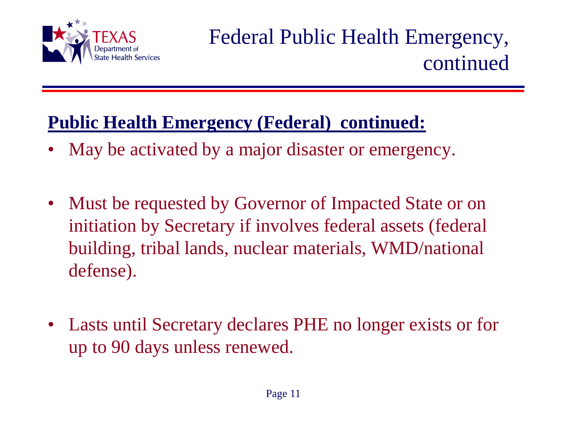

## Federal Public Health Emergency, continued

## **Public Health Emergency (Federal) continued:**

- May be activated by a major disaster or emergency.
- Must be requested by Governor of Impacted State or on initiation by Secretary if involves federal assets (federal building, tribal lands, nuclear materials, WMD/national defense).
- Lasts until Secretary declares PHE no longer exists or for up to 90 days unless renewed.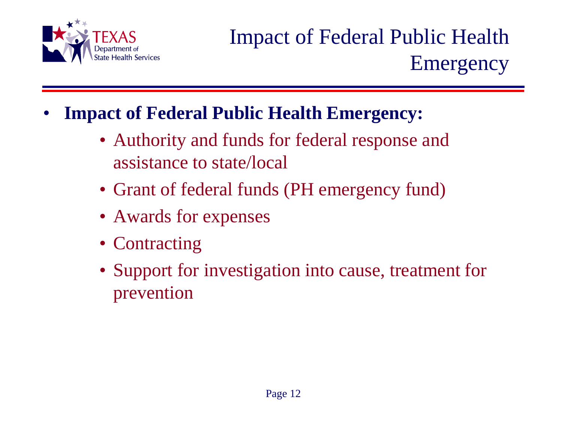

## Impact of Federal Public Health Emergency

- **Impact of Federal Public Health Emergency:**
	- Authority and funds for federal response and assistance to state/local
	- Grant of federal funds (PH emergency fund)
	- Awards for expenses
	- Contracting
	- Support for investigation into cause, treatment for prevention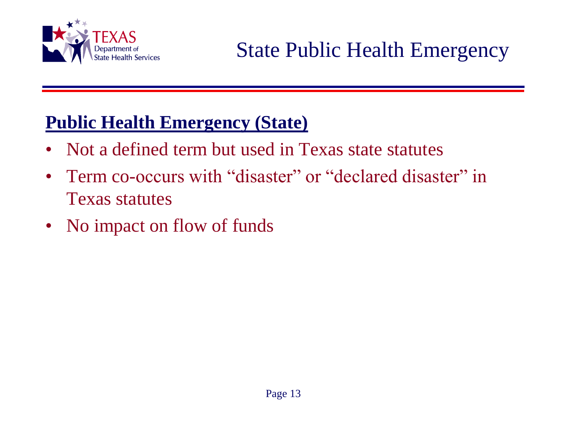

## **Public Health Emergency (State)**

- Not a defined term but used in Texas state statutes
- Term co-occurs with "disaster" or "declared disaster" in Texas statutes
- No impact on flow of funds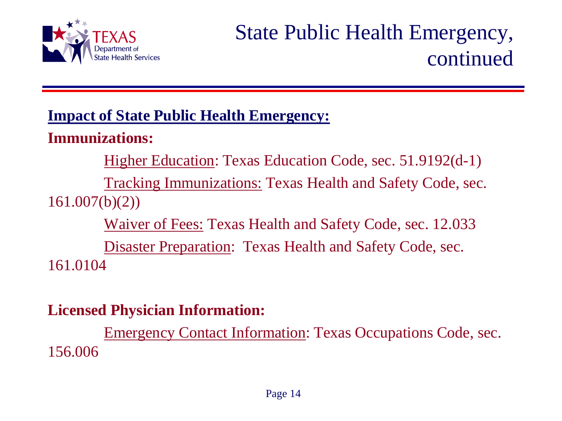

## State Public Health Emergency, continued

#### **Impact of State Public Health Emergency:**

### **Immunizations:**

Higher Education: Texas Education Code, sec. 51.9192(d-1)

Tracking Immunizations: Texas Health and Safety Code, sec. 161.007(b)(2))

Waiver of Fees: Texas Health and Safety Code, sec. 12.033

Disaster Preparation: Texas Health and Safety Code, sec. 161.0104

#### **Licensed Physician Information:**

Emergency Contact Information: Texas Occupations Code, sec. 156.006